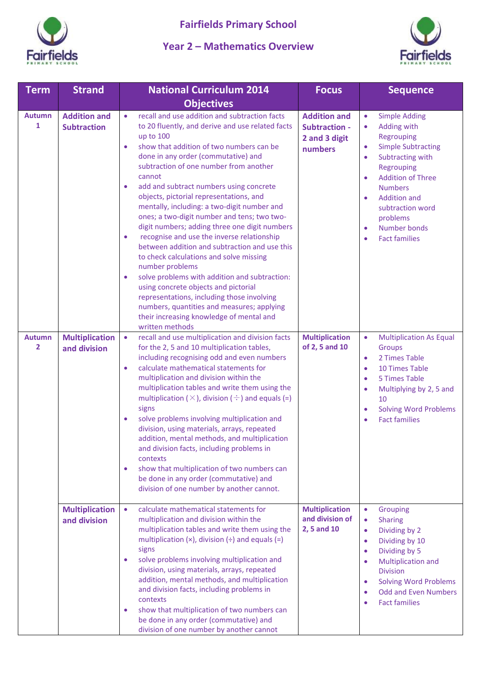

## **Year 2 – Mathematics Overview**



| <b>Term</b>                                                      | <b>Strand</b>                                                                      | <b>National Curriculum 2014</b>                                                                                                                                                                                                                                                                                                                                                                                                                                                                                                                                                                                                                                                                                                                                                                                                                                                                                                                                                                                                                                                             | <b>Focus</b>                                                                                                       | <b>Sequence</b>                                                                                                                                                                                                                                                                                                                                                                                                                       |
|------------------------------------------------------------------|------------------------------------------------------------------------------------|---------------------------------------------------------------------------------------------------------------------------------------------------------------------------------------------------------------------------------------------------------------------------------------------------------------------------------------------------------------------------------------------------------------------------------------------------------------------------------------------------------------------------------------------------------------------------------------------------------------------------------------------------------------------------------------------------------------------------------------------------------------------------------------------------------------------------------------------------------------------------------------------------------------------------------------------------------------------------------------------------------------------------------------------------------------------------------------------|--------------------------------------------------------------------------------------------------------------------|---------------------------------------------------------------------------------------------------------------------------------------------------------------------------------------------------------------------------------------------------------------------------------------------------------------------------------------------------------------------------------------------------------------------------------------|
|                                                                  |                                                                                    | <b>Objectives</b>                                                                                                                                                                                                                                                                                                                                                                                                                                                                                                                                                                                                                                                                                                                                                                                                                                                                                                                                                                                                                                                                           |                                                                                                                    |                                                                                                                                                                                                                                                                                                                                                                                                                                       |
| <b>Autumn</b><br>$\mathbf{1}$<br><b>Autumn</b><br>$\overline{2}$ | <b>Addition and</b><br><b>Subtraction</b><br><b>Multiplication</b><br>and division | recall and use addition and subtraction facts<br>$\bullet$<br>to 20 fluently, and derive and use related facts<br>up to 100<br>show that addition of two numbers can be<br>$\bullet$<br>done in any order (commutative) and<br>subtraction of one number from another<br>cannot<br>add and subtract numbers using concrete<br>$\bullet$<br>objects, pictorial representations, and<br>mentally, including: a two-digit number and<br>ones; a two-digit number and tens; two two-<br>digit numbers; adding three one digit numbers<br>recognise and use the inverse relationship<br>$\bullet$<br>between addition and subtraction and use this<br>to check calculations and solve missing<br>number problems<br>solve problems with addition and subtraction:<br>$\bullet$<br>using concrete objects and pictorial<br>representations, including those involving<br>numbers, quantities and measures; applying<br>their increasing knowledge of mental and<br>written methods<br>recall and use multiplication and division facts<br>$\bullet$<br>for the 2, 5 and 10 multiplication tables, | <b>Addition and</b><br><b>Subtraction -</b><br>2 and 3 digit<br>numbers<br><b>Multiplication</b><br>of 2, 5 and 10 | <b>Simple Adding</b><br>$\bullet$<br>Adding with<br>$\bullet$<br>Regrouping<br><b>Simple Subtracting</b><br>$\bullet$<br>Subtracting with<br>$\bullet$<br>Regrouping<br><b>Addition of Three</b><br>$\bullet$<br><b>Numbers</b><br><b>Addition and</b><br>$\bullet$<br>subtraction word<br>problems<br><b>Number bonds</b><br>$\bullet$<br><b>Fact families</b><br>$\bullet$<br><b>Multiplication As Equal</b><br>$\bullet$<br>Groups |
|                                                                  |                                                                                    | including recognising odd and even numbers<br>calculate mathematical statements for<br>$\bullet$<br>multiplication and division within the<br>multiplication tables and write them using the<br>multiplication ( $\times$ ), division ( $\div$ ) and equals (=)<br>signs<br>solve problems involving multiplication and<br>division, using materials, arrays, repeated<br>addition, mental methods, and multiplication<br>and division facts, including problems in<br>contexts<br>show that multiplication of two numbers can<br>۰<br>be done in any order (commutative) and<br>division of one number by another cannot.                                                                                                                                                                                                                                                                                                                                                                                                                                                                  |                                                                                                                    | 2 Times Table<br>$\bullet$<br><b>10 Times Table</b><br>$\bullet$<br>5 Times Table<br>$\bullet$<br>Multiplying by 2, 5 and<br>$\bullet$<br>10<br><b>Solving Word Problems</b><br>$\bullet$<br><b>Fact families</b><br>$\bullet$                                                                                                                                                                                                        |
|                                                                  | <b>Multiplication</b><br>and division                                              | calculate mathematical statements for<br>$\bullet$<br>multiplication and division within the<br>multiplication tables and write them using the<br>multiplication $(x)$ , division $(\div)$ and equals $(=)$<br>signs<br>solve problems involving multiplication and<br>division, using materials, arrays, repeated<br>addition, mental methods, and multiplication<br>and division facts, including problems in<br>contexts<br>show that multiplication of two numbers can<br>$\bullet$<br>be done in any order (commutative) and<br>division of one number by another cannot                                                                                                                                                                                                                                                                                                                                                                                                                                                                                                               | <b>Multiplication</b><br>and division of<br>2, 5 and 10                                                            | Grouping<br>$\bullet$<br><b>Sharing</b><br>$\bullet$<br>Dividing by 2<br>$\bullet$<br>Dividing by 10<br>$\bullet$<br>Dividing by 5<br>$\bullet$<br>Multiplication and<br>$\bullet$<br><b>Division</b><br><b>Solving Word Problems</b><br>$\bullet$<br><b>Odd and Even Numbers</b><br><b>Fact families</b>                                                                                                                             |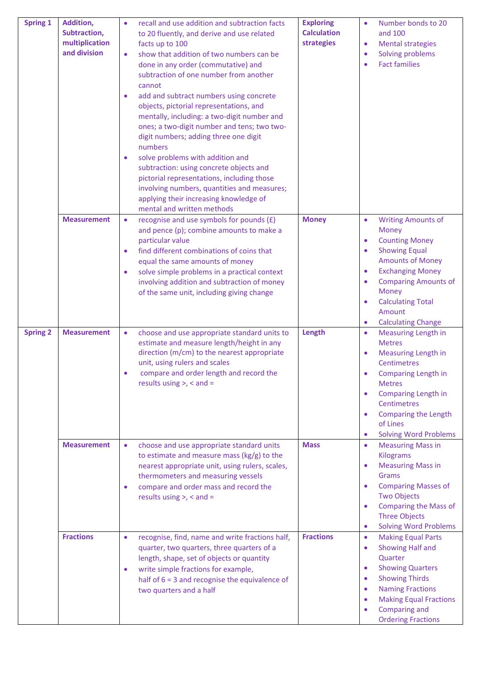| <b>Spring 1</b> | Addition,<br>Subtraction,<br>multiplication<br>and division | recall and use addition and subtraction facts<br>to 20 fluently, and derive and use related<br>facts up to 100<br>show that addition of two numbers can be<br>$\bullet$<br>done in any order (commutative) and<br>subtraction of one number from another<br>cannot<br>add and subtract numbers using concrete<br>$\bullet$<br>objects, pictorial representations, and<br>mentally, including: a two-digit number and<br>ones; a two-digit number and tens; two two-<br>digit numbers; adding three one digit<br>numbers<br>solve problems with addition and<br>۰<br>subtraction: using concrete objects and<br>pictorial representations, including those<br>involving numbers, quantities and measures;<br>applying their increasing knowledge of<br>mental and written methods | <b>Exploring</b><br><b>Calculation</b><br>strategies | Number bonds to 20<br>$\bullet$<br>and 100<br><b>Mental strategies</b><br>$\bullet$<br>Solving problems<br>$\bullet$<br><b>Fact families</b><br>$\bullet$                                                                                                                                                                                       |
|-----------------|-------------------------------------------------------------|----------------------------------------------------------------------------------------------------------------------------------------------------------------------------------------------------------------------------------------------------------------------------------------------------------------------------------------------------------------------------------------------------------------------------------------------------------------------------------------------------------------------------------------------------------------------------------------------------------------------------------------------------------------------------------------------------------------------------------------------------------------------------------|------------------------------------------------------|-------------------------------------------------------------------------------------------------------------------------------------------------------------------------------------------------------------------------------------------------------------------------------------------------------------------------------------------------|
|                 | <b>Measurement</b>                                          | recognise and use symbols for pounds (£)<br>$\bullet$<br>and pence (p); combine amounts to make a<br>particular value<br>find different combinations of coins that<br>$\bullet$<br>equal the same amounts of money<br>solve simple problems in a practical context<br>$\bullet$<br>involving addition and subtraction of money<br>of the same unit, including giving change                                                                                                                                                                                                                                                                                                                                                                                                      | <b>Money</b>                                         | <b>Writing Amounts of</b><br>$\bullet$<br>Money<br><b>Counting Money</b><br>$\bullet$<br><b>Showing Equal</b><br>$\bullet$<br><b>Amounts of Money</b><br><b>Exchanging Money</b><br>$\bullet$<br><b>Comparing Amounts of</b><br>$\bullet$<br>Money<br><b>Calculating Total</b><br>$\bullet$<br>Amount<br><b>Calculating Change</b><br>$\bullet$ |
| <b>Spring 2</b> | <b>Measurement</b>                                          | choose and use appropriate standard units to<br>$\bullet$<br>estimate and measure length/height in any<br>direction (m/cm) to the nearest appropriate<br>unit, using rulers and scales<br>compare and order length and record the<br>$\bullet$<br>results using $>$ , $<$ and $=$                                                                                                                                                                                                                                                                                                                                                                                                                                                                                                | Length                                               | <b>Measuring Length in</b><br>$\bullet$<br><b>Metres</b><br><b>Measuring Length in</b><br>$\bullet$<br>Centimetres<br>Comparing Length in<br>$\bullet$<br><b>Metres</b><br><b>Comparing Length in</b><br>$\bullet$<br><b>Centimetres</b><br>Comparing the Length<br>$\bullet$<br>of Lines<br><b>Solving Word Problems</b><br>$\bullet$          |
|                 | <b>Measurement</b>                                          | choose and use appropriate standard units<br>$\bullet$<br>to estimate and measure mass ( $kg/g$ ) to the<br>nearest appropriate unit, using rulers, scales,<br>thermometers and measuring vessels<br>compare and order mass and record the<br>$\bullet$<br>results using $>$ , $<$ and $=$                                                                                                                                                                                                                                                                                                                                                                                                                                                                                       | <b>Mass</b>                                          | <b>Measuring Mass in</b><br>$\bullet$<br>Kilograms<br><b>Measuring Mass in</b><br>$\bullet$<br>Grams<br><b>Comparing Masses of</b><br>$\bullet$<br><b>Two Objects</b><br><b>Comparing the Mass of</b><br>$\bullet$<br><b>Three Objects</b><br><b>Solving Word Problems</b><br>$\bullet$                                                         |
|                 | <b>Fractions</b>                                            | recognise, find, name and write fractions half,<br>$\bullet$<br>quarter, two quarters, three quarters of a<br>length, shape, set of objects or quantity<br>write simple fractions for example,<br>$\bullet$<br>half of $6 = 3$ and recognise the equivalence of<br>two quarters and a half                                                                                                                                                                                                                                                                                                                                                                                                                                                                                       | <b>Fractions</b>                                     | <b>Making Equal Parts</b><br>$\bullet$<br>Showing Half and<br>$\bullet$<br>Quarter<br><b>Showing Quarters</b><br>$\bullet$<br><b>Showing Thirds</b><br>$\bullet$<br><b>Naming Fractions</b><br>$\bullet$<br><b>Making Equal Fractions</b><br>$\bullet$<br>Comparing and<br>$\bullet$<br><b>Ordering Fractions</b>                               |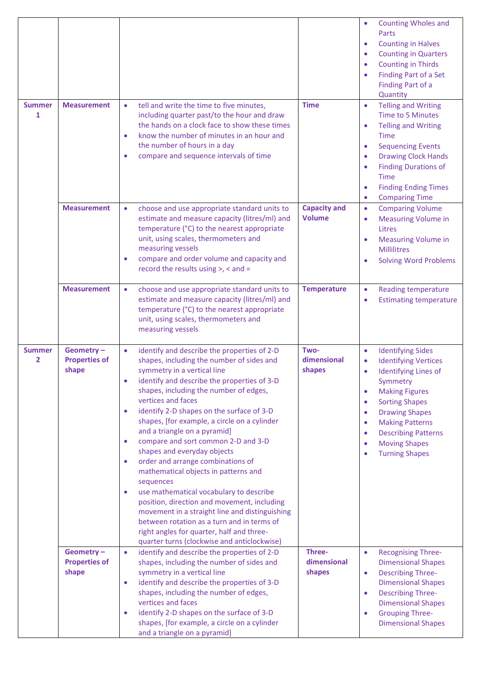| <b>Summer</b><br>1 | <b>Measurement</b>                         | tell and write the time to five minutes,<br>$\bullet$<br>including quarter past/to the hour and draw<br>the hands on a clock face to show these times<br>know the number of minutes in an hour and<br>$\bullet$<br>the number of hours in a day<br>compare and sequence intervals of time                                                                                                                                                                                                                                                                                                                                                                                                                                                                                                                                                                                                               | <b>Time</b>                          | <b>Counting Wholes and</b><br>Parts<br><b>Counting in Halves</b><br>$\bullet$<br><b>Counting in Quarters</b><br>$\bullet$<br><b>Counting in Thirds</b><br>$\bullet$<br>Finding Part of a Set<br>$\bullet$<br>Finding Part of a<br>Quantity<br><b>Telling and Writing</b><br>$\bullet$<br>Time to 5 Minutes<br><b>Telling and Writing</b><br>$\bullet$<br><b>Time</b><br><b>Sequencing Events</b><br>$\bullet$<br><b>Drawing Clock Hands</b><br>$\bullet$<br><b>Finding Durations of</b><br>$\bullet$<br><b>Time</b><br><b>Finding Ending Times</b><br>$\bullet$<br><b>Comparing Time</b><br>$\bullet$ |
|--------------------|--------------------------------------------|---------------------------------------------------------------------------------------------------------------------------------------------------------------------------------------------------------------------------------------------------------------------------------------------------------------------------------------------------------------------------------------------------------------------------------------------------------------------------------------------------------------------------------------------------------------------------------------------------------------------------------------------------------------------------------------------------------------------------------------------------------------------------------------------------------------------------------------------------------------------------------------------------------|--------------------------------------|-------------------------------------------------------------------------------------------------------------------------------------------------------------------------------------------------------------------------------------------------------------------------------------------------------------------------------------------------------------------------------------------------------------------------------------------------------------------------------------------------------------------------------------------------------------------------------------------------------|
|                    | <b>Measurement</b>                         | choose and use appropriate standard units to<br>$\bullet$<br>estimate and measure capacity (litres/ml) and<br>temperature (°C) to the nearest appropriate<br>unit, using scales, thermometers and<br>measuring vessels<br>compare and order volume and capacity and<br>۰<br>record the results using >, < and =                                                                                                                                                                                                                                                                                                                                                                                                                                                                                                                                                                                         | <b>Capacity and</b><br><b>Volume</b> | <b>Comparing Volume</b><br>$\bullet$<br><b>Measuring Volume in</b><br>$\bullet$<br>Litres<br><b>Measuring Volume in</b><br>$\bullet$<br><b>Millilitres</b><br><b>Solving Word Problems</b><br>$\bullet$                                                                                                                                                                                                                                                                                                                                                                                               |
|                    | <b>Measurement</b>                         | $\bullet$<br>choose and use appropriate standard units to<br>estimate and measure capacity (litres/ml) and<br>temperature (°C) to the nearest appropriate<br>unit, using scales, thermometers and<br>measuring vessels                                                                                                                                                                                                                                                                                                                                                                                                                                                                                                                                                                                                                                                                                  | <b>Temperature</b>                   | <b>Reading temperature</b><br>$\bullet$<br><b>Estimating temperature</b><br>$\bullet$                                                                                                                                                                                                                                                                                                                                                                                                                                                                                                                 |
| <b>Summer</b><br>2 | Geometry-<br><b>Properties of</b><br>shape | identify and describe the properties of 2-D<br>$\bullet$<br>shapes, including the number of sides and<br>symmetry in a vertical line<br>identify and describe the properties of 3-D<br>$\bullet$<br>shapes, including the number of edges,<br>vertices and faces<br>identify 2-D shapes on the surface of 3-D<br>$\bullet$<br>shapes, [for example, a circle on a cylinder<br>and a triangle on a pyramid]<br>compare and sort common 2-D and 3-D<br>$\bullet$<br>shapes and everyday objects<br>order and arrange combinations of<br>$\bullet$<br>mathematical objects in patterns and<br>sequences<br>use mathematical vocabulary to describe<br>$\bullet$<br>position, direction and movement, including<br>movement in a straight line and distinguishing<br>between rotation as a turn and in terms of<br>right angles for quarter, half and three-<br>quarter turns (clockwise and anticlockwise) | Two-<br>dimensional<br>shapes        | <b>Identifying Sides</b><br>$\bullet$<br><b>Identifying Vertices</b><br>$\bullet$<br>Identifying Lines of<br>Symmetry<br><b>Making Figures</b><br>$\bullet$<br><b>Sorting Shapes</b><br><b>Drawing Shapes</b><br>$\bullet$<br><b>Making Patterns</b><br>$\bullet$<br><b>Describing Patterns</b><br>$\bullet$<br><b>Moving Shapes</b><br>$\bullet$<br><b>Turning Shapes</b><br>$\bullet$                                                                                                                                                                                                               |
|                    | Geometry-<br><b>Properties of</b><br>shape | identify and describe the properties of 2-D<br>$\bullet$<br>shapes, including the number of sides and<br>symmetry in a vertical line<br>identify and describe the properties of 3-D<br>$\bullet$<br>shapes, including the number of edges,<br>vertices and faces<br>identify 2-D shapes on the surface of 3-D<br>$\bullet$<br>shapes, [for example, a circle on a cylinder<br>and a triangle on a pyramid]                                                                                                                                                                                                                                                                                                                                                                                                                                                                                              | Three-<br>dimensional<br>shapes      | <b>Recognising Three-</b><br>$\bullet$<br><b>Dimensional Shapes</b><br><b>Describing Three-</b><br>$\bullet$<br><b>Dimensional Shapes</b><br><b>Describing Three-</b><br>$\bullet$<br><b>Dimensional Shapes</b><br><b>Grouping Three-</b><br>$\bullet$<br><b>Dimensional Shapes</b>                                                                                                                                                                                                                                                                                                                   |